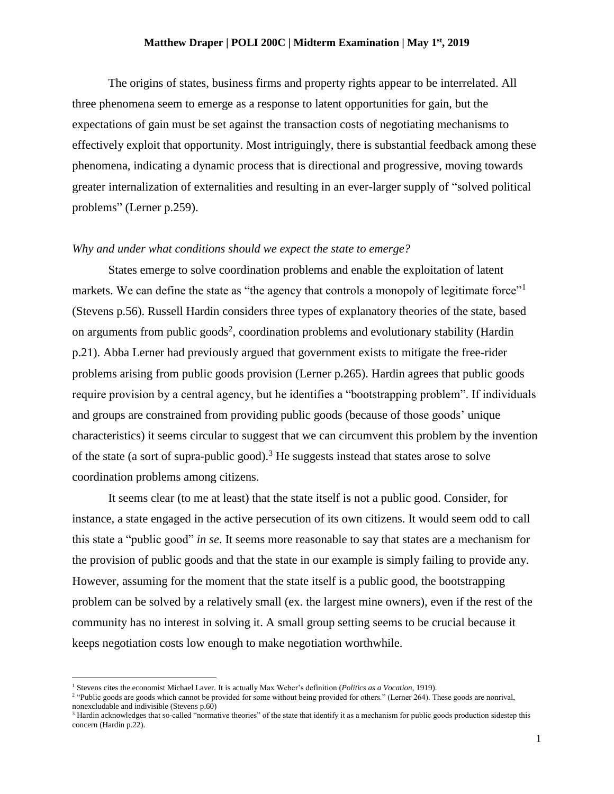## **Matthew Draper | POLI 200C | Midterm Examination | May 1st , 2019**

The origins of states, business firms and property rights appear to be interrelated. All three phenomena seem to emerge as a response to latent opportunities for gain, but the expectations of gain must be set against the transaction costs of negotiating mechanisms to effectively exploit that opportunity. Most intriguingly, there is substantial feedback among these phenomena, indicating a dynamic process that is directional and progressive, moving towards greater internalization of externalities and resulting in an ever-larger supply of "solved political problems" (Lerner p.259).

## *Why and under what conditions should we expect the state to emerge?*

States emerge to solve coordination problems and enable the exploitation of latent markets. We can define the state as "the agency that controls a monopoly of legitimate force" (Stevens p.56). Russell Hardin considers three types of explanatory theories of the state, based on arguments from public goods<sup>2</sup>, coordination problems and evolutionary stability (Hardin p.21). Abba Lerner had previously argued that government exists to mitigate the free-rider problems arising from public goods provision (Lerner p.265). Hardin agrees that public goods require provision by a central agency, but he identifies a "bootstrapping problem". If individuals and groups are constrained from providing public goods (because of those goods' unique characteristics) it seems circular to suggest that we can circumvent this problem by the invention of the state (a sort of supra-public good).<sup>3</sup> He suggests instead that states arose to solve coordination problems among citizens.

It seems clear (to me at least) that the state itself is not a public good. Consider, for instance, a state engaged in the active persecution of its own citizens. It would seem odd to call this state a "public good" *in se*. It seems more reasonable to say that states are a mechanism for the provision of public goods and that the state in our example is simply failing to provide any. However, assuming for the moment that the state itself is a public good, the bootstrapping problem can be solved by a relatively small (ex. the largest mine owners), even if the rest of the community has no interest in solving it. A small group setting seems to be crucial because it keeps negotiation costs low enough to make negotiation worthwhile.

l

<sup>1</sup> Stevens cites the economist Michael Laver. It is actually Max Weber's definition (*Politics as a Vocation*, 1919).

<sup>&</sup>lt;sup>2</sup> "Public goods are goods which cannot be provided for some without being provided for others." (Lerner 264). These goods are nonrival, nonexcludable and indivisible (Stevens p.60)

<sup>&</sup>lt;sup>3</sup> Hardin acknowledges that so-called "normative theories" of the state that identify it as a mechanism for public goods production sidestep this concern (Hardin p.22).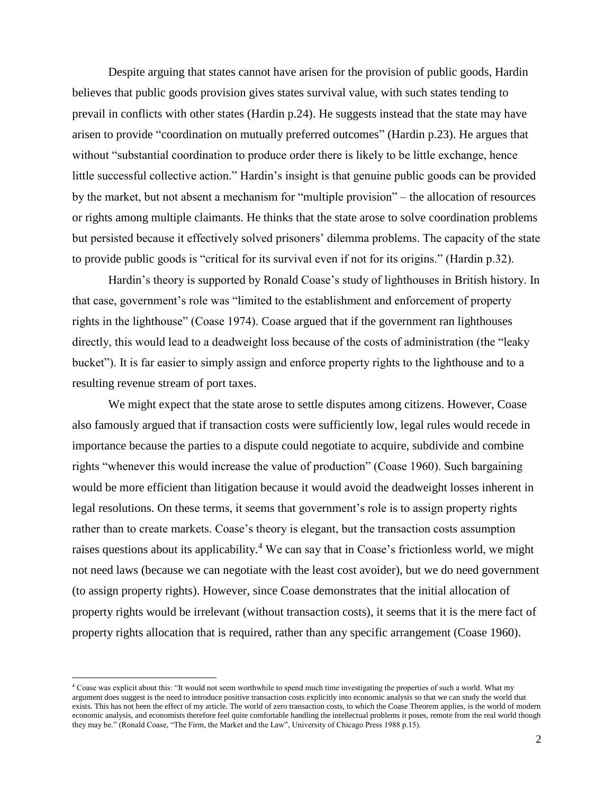Despite arguing that states cannot have arisen for the provision of public goods, Hardin believes that public goods provision gives states survival value, with such states tending to prevail in conflicts with other states (Hardin p.24). He suggests instead that the state may have arisen to provide "coordination on mutually preferred outcomes" (Hardin p.23). He argues that without "substantial coordination to produce order there is likely to be little exchange, hence little successful collective action." Hardin's insight is that genuine public goods can be provided by the market, but not absent a mechanism for "multiple provision" – the allocation of resources or rights among multiple claimants. He thinks that the state arose to solve coordination problems but persisted because it effectively solved prisoners' dilemma problems. The capacity of the state to provide public goods is "critical for its survival even if not for its origins." (Hardin p.32).

Hardin's theory is supported by Ronald Coase's study of lighthouses in British history. In that case, government's role was "limited to the establishment and enforcement of property rights in the lighthouse" (Coase 1974). Coase argued that if the government ran lighthouses directly, this would lead to a deadweight loss because of the costs of administration (the "leaky bucket"). It is far easier to simply assign and enforce property rights to the lighthouse and to a resulting revenue stream of port taxes.

We might expect that the state arose to settle disputes among citizens. However, Coase also famously argued that if transaction costs were sufficiently low, legal rules would recede in importance because the parties to a dispute could negotiate to acquire, subdivide and combine rights "whenever this would increase the value of production" (Coase 1960). Such bargaining would be more efficient than litigation because it would avoid the deadweight losses inherent in legal resolutions. On these terms, it seems that government's role is to assign property rights rather than to create markets. Coase's theory is elegant, but the transaction costs assumption raises questions about its applicability.<sup>4</sup> We can say that in Coase's frictionless world, we might not need laws (because we can negotiate with the least cost avoider), but we do need government (to assign property rights). However, since Coase demonstrates that the initial allocation of property rights would be irrelevant (without transaction costs), it seems that it is the mere fact of property rights allocation that is required, rather than any specific arrangement (Coase 1960).

l

<sup>&</sup>lt;sup>4</sup> Coase was explicit about this: "It would not seem worthwhile to spend much time investigating the properties of such a world. What my argument does suggest is the need to introduce positive transaction costs explicitly into economic analysis so that we can study the world that exists. This has not been the effect of my article. The world of zero transaction costs, to which the Coase Theorem applies, is the world of modern economic analysis, and economists therefore feel quite comfortable handling the intellectual problems it poses, remote from the real world though they may be." (Ronald Coase, "The Firm, the Market and the Law", University of Chicago Press 1988 p.15).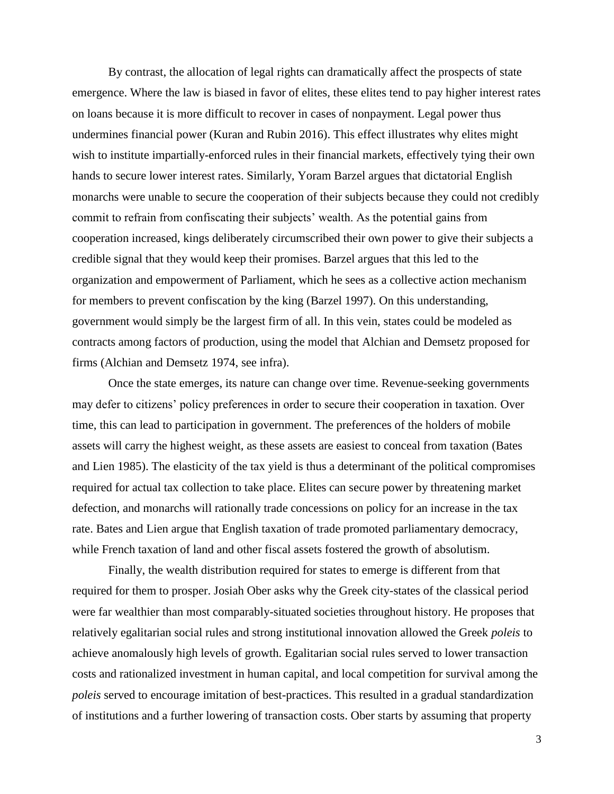By contrast, the allocation of legal rights can dramatically affect the prospects of state emergence. Where the law is biased in favor of elites, these elites tend to pay higher interest rates on loans because it is more difficult to recover in cases of nonpayment. Legal power thus undermines financial power (Kuran and Rubin 2016). This effect illustrates why elites might wish to institute impartially-enforced rules in their financial markets, effectively tying their own hands to secure lower interest rates. Similarly, Yoram Barzel argues that dictatorial English monarchs were unable to secure the cooperation of their subjects because they could not credibly commit to refrain from confiscating their subjects' wealth. As the potential gains from cooperation increased, kings deliberately circumscribed their own power to give their subjects a credible signal that they would keep their promises. Barzel argues that this led to the organization and empowerment of Parliament, which he sees as a collective action mechanism for members to prevent confiscation by the king (Barzel 1997). On this understanding, government would simply be the largest firm of all. In this vein, states could be modeled as contracts among factors of production, using the model that Alchian and Demsetz proposed for firms (Alchian and Demsetz 1974, see infra).

Once the state emerges, its nature can change over time. Revenue-seeking governments may defer to citizens' policy preferences in order to secure their cooperation in taxation. Over time, this can lead to participation in government. The preferences of the holders of mobile assets will carry the highest weight, as these assets are easiest to conceal from taxation (Bates and Lien 1985). The elasticity of the tax yield is thus a determinant of the political compromises required for actual tax collection to take place. Elites can secure power by threatening market defection, and monarchs will rationally trade concessions on policy for an increase in the tax rate. Bates and Lien argue that English taxation of trade promoted parliamentary democracy, while French taxation of land and other fiscal assets fostered the growth of absolutism.

Finally, the wealth distribution required for states to emerge is different from that required for them to prosper. Josiah Ober asks why the Greek city-states of the classical period were far wealthier than most comparably-situated societies throughout history. He proposes that relatively egalitarian social rules and strong institutional innovation allowed the Greek *poleis* to achieve anomalously high levels of growth. Egalitarian social rules served to lower transaction costs and rationalized investment in human capital, and local competition for survival among the *poleis* served to encourage imitation of best-practices. This resulted in a gradual standardization of institutions and a further lowering of transaction costs. Ober starts by assuming that property

3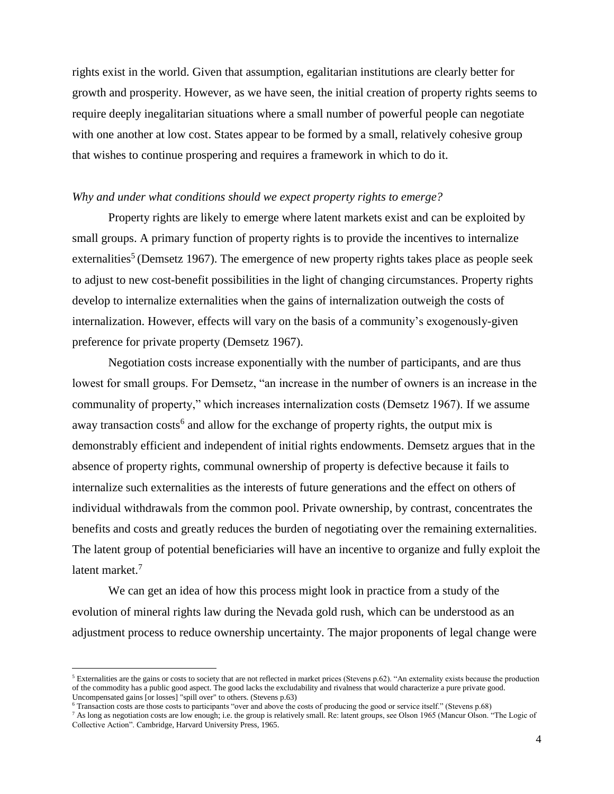rights exist in the world. Given that assumption, egalitarian institutions are clearly better for growth and prosperity. However, as we have seen, the initial creation of property rights seems to require deeply inegalitarian situations where a small number of powerful people can negotiate with one another at low cost. States appear to be formed by a small, relatively cohesive group that wishes to continue prospering and requires a framework in which to do it.

## *Why and under what conditions should we expect property rights to emerge?*

Property rights are likely to emerge where latent markets exist and can be exploited by small groups. A primary function of property rights is to provide the incentives to internalize externalities<sup>5</sup> (Demsetz 1967). The emergence of new property rights takes place as people seek to adjust to new cost-benefit possibilities in the light of changing circumstances. Property rights develop to internalize externalities when the gains of internalization outweigh the costs of internalization. However, effects will vary on the basis of a community's exogenously-given preference for private property (Demsetz 1967).

Negotiation costs increase exponentially with the number of participants, and are thus lowest for small groups. For Demsetz, "an increase in the number of owners is an increase in the communality of property," which increases internalization costs (Demsetz 1967). If we assume away transaction costs<sup>6</sup> and allow for the exchange of property rights, the output mix is demonstrably efficient and independent of initial rights endowments. Demsetz argues that in the absence of property rights, communal ownership of property is defective because it fails to internalize such externalities as the interests of future generations and the effect on others of individual withdrawals from the common pool. Private ownership, by contrast, concentrates the benefits and costs and greatly reduces the burden of negotiating over the remaining externalities. The latent group of potential beneficiaries will have an incentive to organize and fully exploit the latent market.<sup>7</sup>

We can get an idea of how this process might look in practice from a study of the evolution of mineral rights law during the Nevada gold rush, which can be understood as an adjustment process to reduce ownership uncertainty. The major proponents of legal change were

 $\overline{\phantom{a}}$ 

 $<sup>5</sup>$  Externalities are the gains or costs to society that are not reflected in market prices (Stevens p.62). "An externality exists because the production</sup> of the commodity has a public good aspect. The good lacks the excludability and rivalness that would characterize a pure private good. Uncompensated gains [or losses] "spill over" to others. (Stevens p.63)

<sup>6</sup> Transaction costs are those costs to participants "over and above the costs of producing the good or service itself." (Stevens p.68)

<sup>7</sup> As long as negotiation costs are low enough; i.e. the group is relatively small. Re: latent groups, see Olson 1965 (Mancur Olson. "The Logic of Collective Action". Cambridge, Harvard University Press, 1965.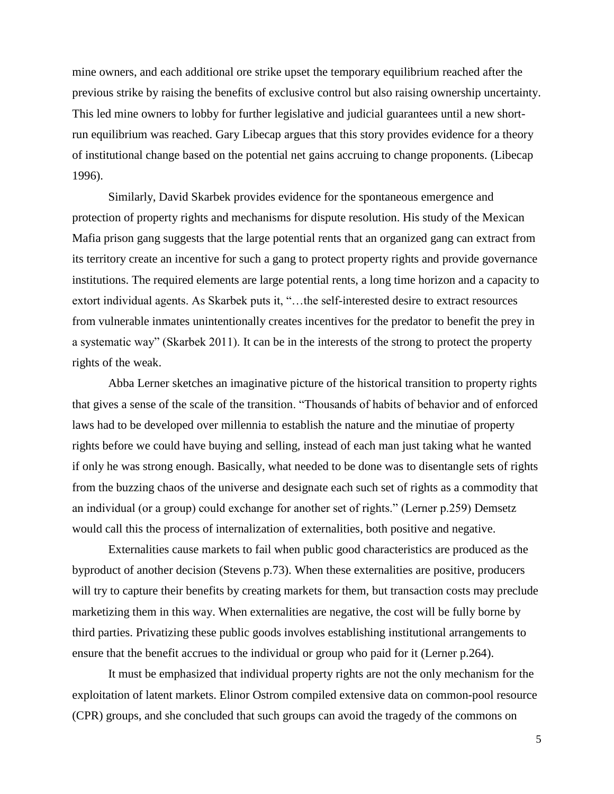mine owners, and each additional ore strike upset the temporary equilibrium reached after the previous strike by raising the benefits of exclusive control but also raising ownership uncertainty. This led mine owners to lobby for further legislative and judicial guarantees until a new shortrun equilibrium was reached. Gary Libecap argues that this story provides evidence for a theory of institutional change based on the potential net gains accruing to change proponents. (Libecap 1996).

Similarly, David Skarbek provides evidence for the spontaneous emergence and protection of property rights and mechanisms for dispute resolution. His study of the Mexican Mafia prison gang suggests that the large potential rents that an organized gang can extract from its territory create an incentive for such a gang to protect property rights and provide governance institutions. The required elements are large potential rents, a long time horizon and a capacity to extort individual agents. As Skarbek puts it, "…the self-interested desire to extract resources from vulnerable inmates unintentionally creates incentives for the predator to benefit the prey in a systematic way" (Skarbek 2011). It can be in the interests of the strong to protect the property rights of the weak.

Abba Lerner sketches an imaginative picture of the historical transition to property rights that gives a sense of the scale of the transition. "Thousands of habits of behavior and of enforced laws had to be developed over millennia to establish the nature and the minutiae of property rights before we could have buying and selling, instead of each man just taking what he wanted if only he was strong enough. Basically, what needed to be done was to disentangle sets of rights from the buzzing chaos of the universe and designate each such set of rights as a commodity that an individual (or a group) could exchange for another set of rights." (Lerner p.259) Demsetz would call this the process of internalization of externalities, both positive and negative.

Externalities cause markets to fail when public good characteristics are produced as the byproduct of another decision (Stevens p.73). When these externalities are positive, producers will try to capture their benefits by creating markets for them, but transaction costs may preclude marketizing them in this way. When externalities are negative, the cost will be fully borne by third parties. Privatizing these public goods involves establishing institutional arrangements to ensure that the benefit accrues to the individual or group who paid for it (Lerner p.264).

It must be emphasized that individual property rights are not the only mechanism for the exploitation of latent markets. Elinor Ostrom compiled extensive data on common-pool resource (CPR) groups, and she concluded that such groups can avoid the tragedy of the commons on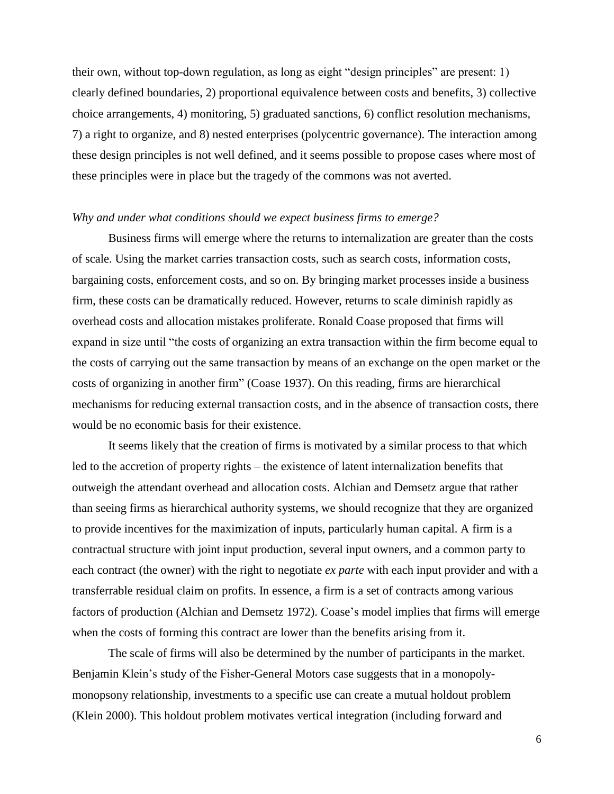their own, without top-down regulation, as long as eight "design principles" are present: 1) clearly defined boundaries, 2) proportional equivalence between costs and benefits, 3) collective choice arrangements, 4) monitoring, 5) graduated sanctions, 6) conflict resolution mechanisms, 7) a right to organize, and 8) nested enterprises (polycentric governance). The interaction among these design principles is not well defined, and it seems possible to propose cases where most of these principles were in place but the tragedy of the commons was not averted.

## *Why and under what conditions should we expect business firms to emerge?*

Business firms will emerge where the returns to internalization are greater than the costs of scale. Using the market carries transaction costs, such as search costs, information costs, bargaining costs, enforcement costs, and so on. By bringing market processes inside a business firm, these costs can be dramatically reduced. However, returns to scale diminish rapidly as overhead costs and allocation mistakes proliferate. Ronald Coase proposed that firms will expand in size until "the costs of organizing an extra transaction within the firm become equal to the costs of carrying out the same transaction by means of an exchange on the open market or the costs of organizing in another firm" (Coase 1937). On this reading, firms are hierarchical mechanisms for reducing external transaction costs, and in the absence of transaction costs, there would be no economic basis for their existence.

It seems likely that the creation of firms is motivated by a similar process to that which led to the accretion of property rights – the existence of latent internalization benefits that outweigh the attendant overhead and allocation costs. Alchian and Demsetz argue that rather than seeing firms as hierarchical authority systems, we should recognize that they are organized to provide incentives for the maximization of inputs, particularly human capital. A firm is a contractual structure with joint input production, several input owners, and a common party to each contract (the owner) with the right to negotiate *ex parte* with each input provider and with a transferrable residual claim on profits. In essence, a firm is a set of contracts among various factors of production (Alchian and Demsetz 1972). Coase's model implies that firms will emerge when the costs of forming this contract are lower than the benefits arising from it.

The scale of firms will also be determined by the number of participants in the market. Benjamin Klein's study of the Fisher-General Motors case suggests that in a monopolymonopsony relationship, investments to a specific use can create a mutual holdout problem (Klein 2000). This holdout problem motivates vertical integration (including forward and